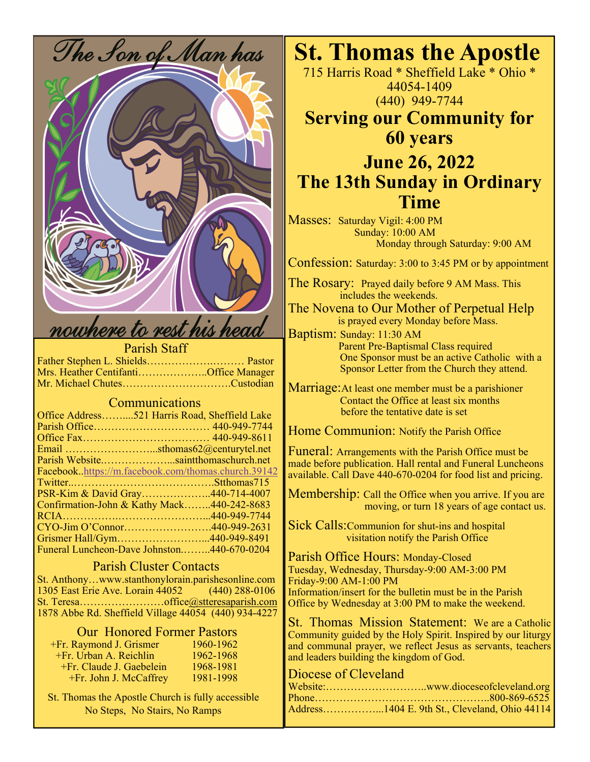

## Parish Staff

Father Stephen L. Shields……………….……… Pastor Mrs. Heather Centifanti………………..Office Manager Mr. Michael Chutes………………………….Custodian

# Communications

| Office Address521 Harris Road, Sheffield Lake       |  |
|-----------------------------------------------------|--|
|                                                     |  |
|                                                     |  |
| Email sthomas62@centurytel.net                      |  |
| Parish Websitesaintthomaschurch.net                 |  |
| Facebook.https://m.facebook.com/thomas.church.39142 |  |
|                                                     |  |
| PSR-Kim & David Gray440-714-4007                    |  |
| Confirmation-John & Kathy Mack440-242-8683          |  |
|                                                     |  |
|                                                     |  |
| Grismer Hall/Gym440-949-8491                        |  |
| Funeral Luncheon-Dave Johnston440-670-0204          |  |

# Parish Cluster Contacts

St. Anthony…www.stanthonylorain.parishesonline.com 1305 East Erie Ave. Lorain 44052 (440) 288-0106 St. Teresa……………………office@stteresaparish.com 1878 Abbe Rd. Sheffield Village 44054 (440) 934-4227

# Our Honored Former Pastors

| +Fr. Raymond J. Grismer    | 1960-1962 |
|----------------------------|-----------|
| $+Fr$ . Urban A. Reichlin  | 1962-1968 |
| $+Fr.$ Claude J. Gaebelein | 1968-1981 |
| +Fr. John J. McCaffrey     | 1981-1998 |

 St. Thomas the Apostle Church is fully accessible No Steps, No Stairs, No Ramps

715 Harris Road \* Sheffield Lake \* Ohio \* 44054-1409 (440) 949-7744

# **Serving our Community for 60 years**

# **June 26, 2022 The 13th Sunday in Ordinary Time**

Masses: Saturday Vigil: 4:00 PM Sunday: 10:00 AM Monday through Saturday: 9:00 AM

Confession: Saturday: 3:00 to 3:45 PM or by appointment

The Rosary: Prayed daily before 9 AM Mass. This includes the weekends.

The Novena to Our Mother of Perpetual Help is prayed every Monday before Mass.

Baptism: Sunday: 11:30 AM Parent Pre-Baptismal Class required One Sponsor must be an active Catholic with a Sponsor Letter from the Church they attend.

Marriage:At least one member must be a parishioner Contact the Office at least six months before the tentative date is set

Home Communion: Notify the Parish Office

Funeral: Arrangements with the Parish Office must be made before publication. Hall rental and Funeral Luncheons available. Call Dave 440-670-0204 for food list and pricing.

Membership: Call the Office when you arrive. If you are moving, or turn 18 years of age contact us.

Sick Calls:Communion for shut-ins and hospital visitation notify the Parish Office

Parish Office Hours: Monday-Closed Tuesday, Wednesday, Thursday-9:00 AM-3:00 PM Friday-9:00 AM-1:00 PM Information/insert for the bulletin must be in the Parish Office by Wednesday at 3:00 PM to make the weekend.

St. Thomas Mission Statement: We are a Catholic Community guided by the Holy Spirit. Inspired by our liturgy and communal prayer, we reflect Jesus as servants, teachers and leaders building the kingdom of God.

# Diocese of Cleveland

| Address1404 E. 9th St., Cleveland, Ohio 44114 |
|-----------------------------------------------|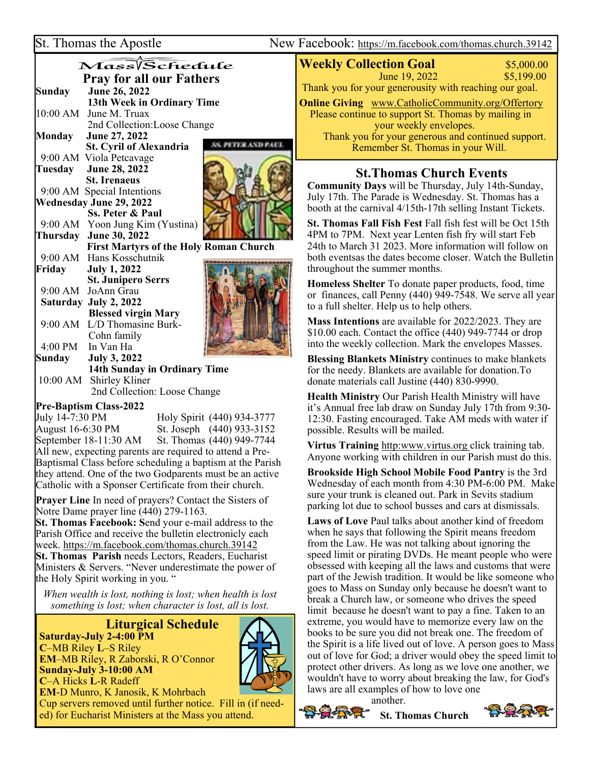St. Thomas the Apostle New Facebook: https://m.facebook.com/thomas.church.39142

|                                 | Mass/Schedule                                 |                   |
|---------------------------------|-----------------------------------------------|-------------------|
| <b>Pray for all our Fathers</b> |                                               |                   |
| <b>Sunday</b>                   | June 26, 2022                                 |                   |
|                                 | 13th Week in Ordinary Time                    |                   |
|                                 | 10:00 AM June M. Truax                        |                   |
|                                 | 2nd Collection:Loose Change                   |                   |
| Monday                          | June 27, 2022                                 |                   |
|                                 | <b>St. Cyril of Alexandria</b>                | <b>TERAND PAL</b> |
|                                 | 9:00 AM Viola Petcavage                       |                   |
|                                 | Tuesday June 28, 2022                         |                   |
|                                 | <b>St. Irenaeus</b>                           |                   |
|                                 | 9:00 AM Special Intentions                    |                   |
|                                 | Wednesday June 29, 2022                       |                   |
|                                 | <b>Ss. Peter &amp; Paul</b>                   |                   |
|                                 | 9:00 AM Yoon Jung Kim (Yustina)               |                   |
|                                 | Thursday June 30, 2022                        |                   |
|                                 | <b>First Martyrs of the Holy Roman Church</b> |                   |
|                                 | 9:00 AM Hans Kosschutnik                      |                   |
| Friday                          | <b>July 1, 2022</b>                           |                   |
|                                 | <b>St. Junipero Serrs</b>                     |                   |
|                                 | 9:00 AM JoAnn Grau                            |                   |
|                                 | Saturday July 2, 2022                         |                   |
|                                 | <b>Blessed virgin Mary</b>                    |                   |
|                                 | 9:00 AM L/D Thomasine Burk-                   |                   |
|                                 | Cohn family                                   |                   |
|                                 | 4:00 PM In Van Ha                             |                   |
|                                 | Sunday July 3, 2022                           |                   |
|                                 | 14th Sunday in Ordinary Time                  |                   |
|                                 | 10:00 AM Shirley Kliner                       |                   |

2nd Collection: Loose Change

### $\overline{\phantom{a}}$ **Pre-Baptism Class-2022**

July 14-7:30 PM Holy Spirit (440) 934-3777 August 16-6:30 PM St. Joseph (440) 933-3152<br>September 18-11:30 AM St. Thomas (440) 949-7744 St. Thomas (440) 949-7744 All new, expecting parents are required to attend a Pre-Baptismal Class before scheduling a baptism at the Parish they attend. One of the two Godparents must be an active Catholic with a Sponser Certificate from their church.

**Prayer Line** In need of prayers? Contact the Sisters of Notre Dame prayer line (440) 279-1163.

**St. Thomas Facebook: S**end your e-mail address to the Parish Office and receive the bulletin electronicly each week. https://m.facebook.com/thomas.church.39142 **St. Thomas Parish** needs Lectors, Readers, Eucharist Ministers & Servers. "Never underestimate the power of the Holy Spirit working in you. "

*When wealth is lost, nothing is lost; when health is lost something is lost; when character is lost, all is lost.* 

 **Liturgical Schedule Saturday-July 2-4:00 PM C**–MB Riley **L**–S Riley **EM**–MB Riley, R Zaborski, R O'Connor



**C**–A Hicks **L**-R Radeff **EM**-D Munro, K Janosik, K Mohrbach

**Sunday-July 3-10:00 AM** 

Cup servers removed until further notice. Fill in (if needed) for Eucharist Ministers at the Mass you attend.

**Weekly Collection Goal** \$5,000.00 **1** June 19, 2022 \$5,199.00 Thank you for your generousity with reaching our goal. **Online Giving** www.CatholicCommunity.org/Offertory Please continue to support St. Thomas by mailing in your weekly envelopes. Thank you for your generous and continued support. Remember St. Thomas in your Will.

# **St.Thomas Church Events**

**Community Days** will be Thursday, July 14th-Sunday, July 17th. The Parade is Wednesday. St. Thomas has a booth at the carnival 4/15th-17th selling Instant Tickets.

**St. Thomas Fall Fish Fest** Fall fish fest will be Oct 15th 4PM to 7PM. Next year Lenten fish fry will start Feb 24th to March 31 2023. More information will follow on both eventsas the dates become closer. Watch the Bulletin throughout the summer months.

**Homeless Shelter** To donate paper products, food, time or finances, call Penny (440) 949-7548. We serve all year to a full shelter. Help us to help others.

**Mass Intentions** are available for 2022/2023. They are \$10.00 each. Contact the office (440) 949-7744 or drop into the weekly collection. Mark the envelopes Masses.

**Blessing Blankets Ministry** continues to make blankets for the needy. Blankets are available for donation.To donate materials call Justine (440) 830-9990.

**Health Ministry** Our Parish Health Ministry will have it's Annual free lab draw on Sunday July 17th from 9:30- 12:30. Fasting encouraged. Take AM meds with water if possible. Results will be mailed.

**Virtus Training** http:www.virtus.org click training tab. Anyone working with children in our Parish must do this.

**Brookside High School Mobile Food Pantry** is the 3rd Wednesday of each month from 4:30 PM-6:00 PM. Make sure your trunk is cleaned out. Park in Sevits stadium parking lot due to school busses and cars at dismissals.

**Laws of Love** Paul talks about another kind of freedom when he says that following the Spirit means freedom from the Law. He was not talking about ignoring the speed limit or pirating DVDs. He meant people who were obsessed with keeping all the laws and customs that were part of the Jewish tradition. It would be like someone who goes to Mass on Sunday only because he doesn't want to break a Church law, or someone who drives the speed limit because he doesn't want to pay a fine. Taken to an extreme, you would have to memorize every law on the books to be sure you did not break one. The freedom of the Spirit is a life lived out of love. A person goes to Mass out of love for God; a driver would obey the speed limit to protect other drivers. As long as we love one another, we wouldn't have to worry about breaking the law, for God's laws are all examples of how to love one

another.

 **St. Thomas Church**